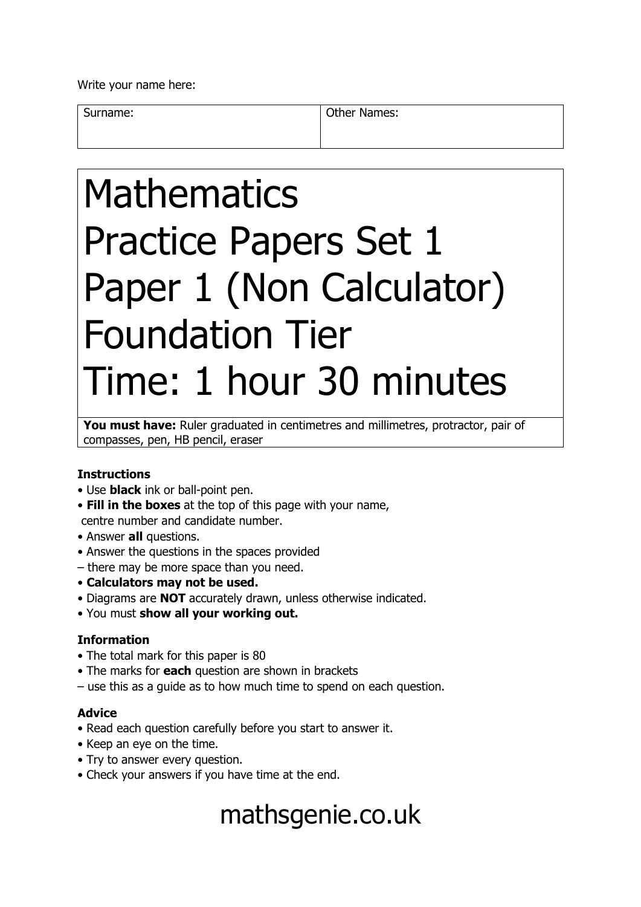Write your name here:

Surname: **Other Names: Other Names:** 

# Mathematics Practice Papers Set 1 Paper 1 (Non Calculator) Foundation Tier Time: 1 hour 30 minutes

You must have: Ruler graduated in centimetres and millimetres, protractor, pair of compasses, pen, HB pencil, eraser

#### **Instructions**

- Use **black** ink or ball-point pen.
- **Fill in the boxes** at the top of this page with your name, centre number and candidate number.
- Answer **all** questions.
- Answer the questions in the spaces provided
- there may be more space than you need.
- **Calculators may not be used.**
- Diagrams are **NOT** accurately drawn, unless otherwise indicated.
- You must **show all your working out.**

#### **Information**

- The total mark for this paper is 80
- The marks for **each** question are shown in brackets
- use this as a guide as to how much time to spend on each question.

#### **Advice**

- Read each question carefully before you start to answer it.
- Keep an eye on the time.
- Try to answer every question.
- Check your answers if you have time at the end.

## mathsgenie.co.uk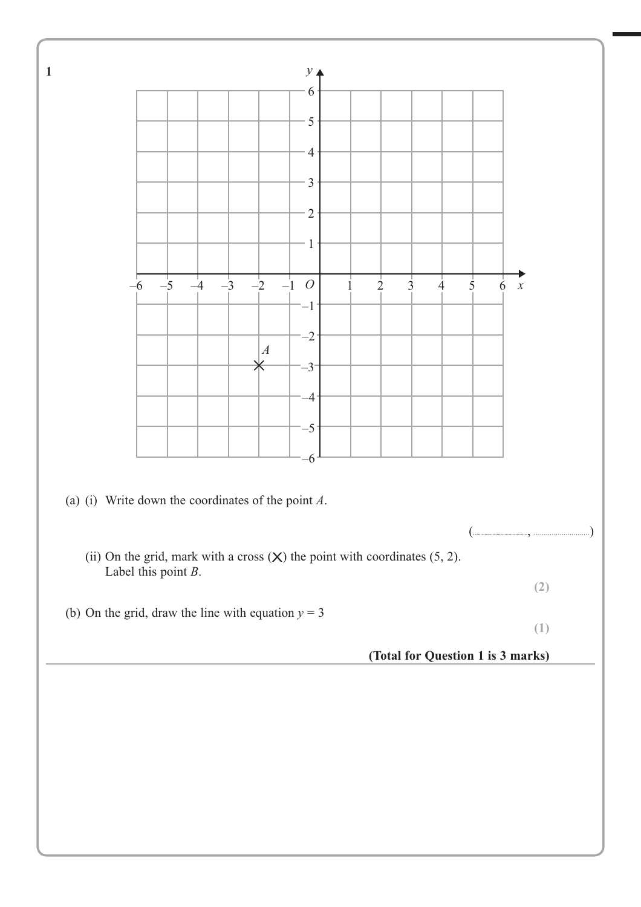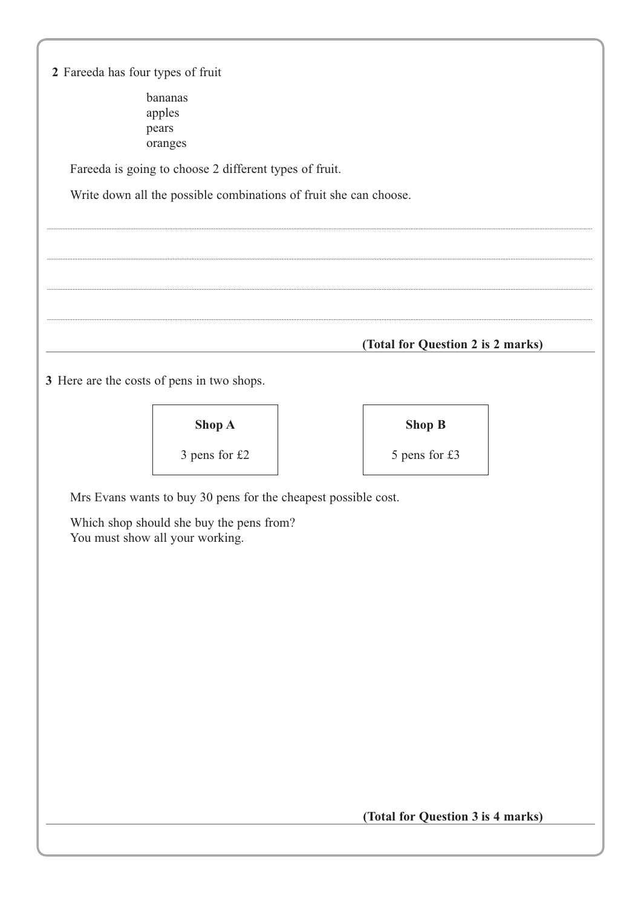2 Fareeda has four types of fruit bananas apples pears oranges Fareeda is going to choose 2 different types of fruit. Write down all the possible combinations of fruit she can choose. (Total for Question 2 is 2 marks) 3 Here are the costs of pens in two shops. Shop A **Shop B** 3 pens for  $£2$ 5 pens for £3 Mrs Evans wants to buy 30 pens for the cheapest possible cost. Which shop should she buy the pens from? You must show all your working.

(Total for Question 3 is 4 marks)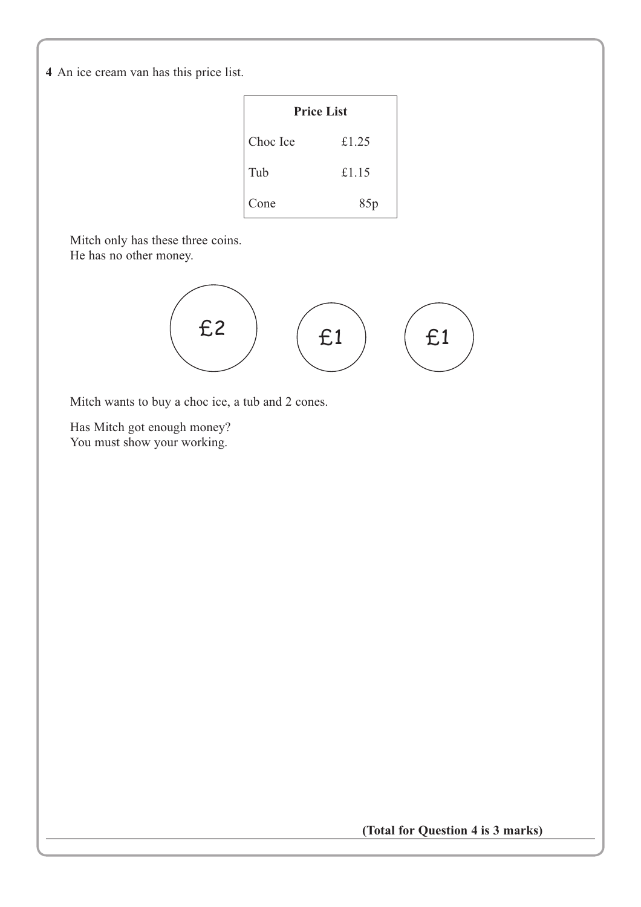**4** An ice cream van has this price list.

| <b>Price List</b> |       |  |  |  |  |  |
|-------------------|-------|--|--|--|--|--|
| Choc Ice          | £1.25 |  |  |  |  |  |
| Tub               | £1.15 |  |  |  |  |  |
| Cone              | 85p   |  |  |  |  |  |

Mitch only has these three coins. He has no other money.



Mitch wants to buy a choc ice, a tub and 2 cones.

Has Mitch got enough money? You must show your working.

**(Total for Question 4 is 3 marks)**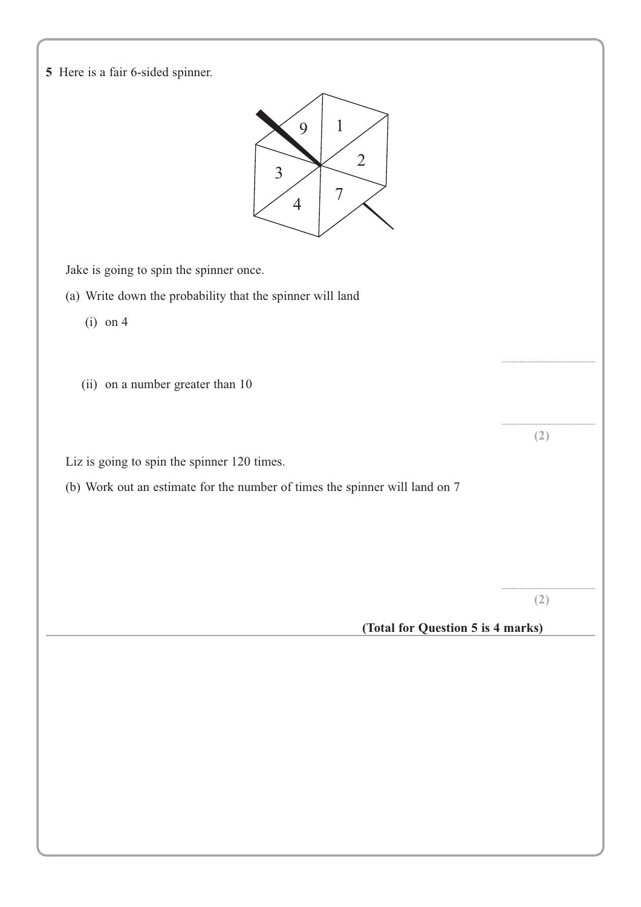**5** Here is a fair 6-sided spinner.



Jake is going to spin the spinner once.

- (a) Write down the probability that the spinner will land
	- (i) on 4
	- (ii) on a number greater than 10

Liz is going to spin the spinner 120 times.

(b) Work out an estimate for the number of times the spinner will land on 7

.......................................................... **(2)**

..........................................................

.......................................................... **(2)**

### **(Total for Question 5 is 4 marks)**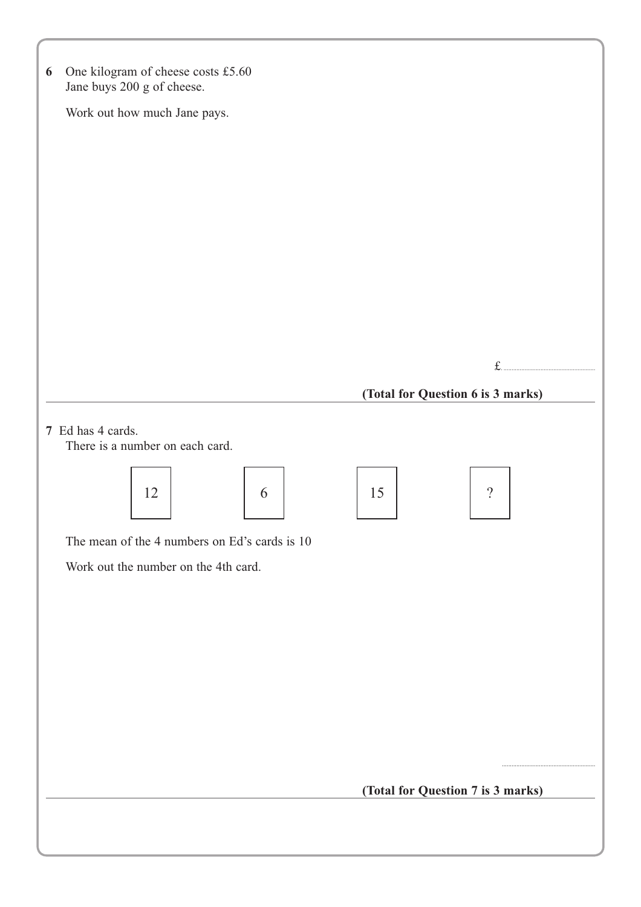| One kilogram of cheese costs £5.60<br>6<br>Jane buys 200 g of cheese. |                                   |
|-----------------------------------------------------------------------|-----------------------------------|
| Work out how much Jane pays.                                          |                                   |
|                                                                       |                                   |
|                                                                       |                                   |
|                                                                       |                                   |
|                                                                       |                                   |
|                                                                       |                                   |
|                                                                       |                                   |
|                                                                       |                                   |
|                                                                       |                                   |
|                                                                       |                                   |
|                                                                       | £.                                |
|                                                                       | (Total for Question 6 is 3 marks) |
| 7 Ed has 4 cards.<br>There is a number on each card.                  |                                   |
| 12<br>6                                                               | 15<br>$\overline{?}$              |
| The mean of the 4 numbers on Ed's cards is 10                         |                                   |
| Work out the number on the 4th card.                                  |                                   |
|                                                                       |                                   |
|                                                                       |                                   |
|                                                                       |                                   |
|                                                                       |                                   |
|                                                                       |                                   |
|                                                                       |                                   |
|                                                                       |                                   |
|                                                                       | (Total for Question 7 is 3 marks) |
|                                                                       |                                   |
|                                                                       |                                   |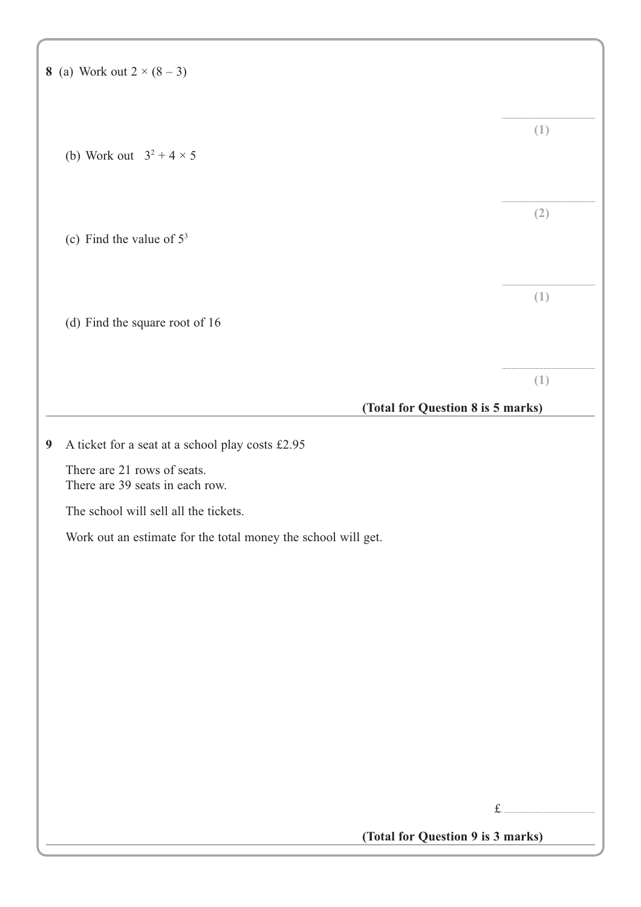|                  | 8 (a) Work out $2 \times (8 - 3)$                              |                  |
|------------------|----------------------------------------------------------------|------------------|
|                  | (b) Work out $3^2 + 4 \times 5$                                | (1)              |
|                  |                                                                | (2)              |
|                  | (c) Find the value of $5^3$                                    |                  |
|                  | (d) Find the square root of 16                                 | (1)              |
|                  | (Total for Question 8 is 5 marks)                              | $\left(1\right)$ |
| $\boldsymbol{9}$ | A ticket for a seat at a school play costs £2.95               |                  |
|                  | There are 21 rows of seats.<br>There are 39 seats in each row. |                  |
|                  | The school will sell all the tickets.                          |                  |
|                  | Work out an estimate for the total money the school will get.  |                  |
|                  |                                                                |                  |
|                  |                                                                |                  |
|                  |                                                                |                  |
|                  |                                                                |                  |
|                  |                                                                |                  |
|                  |                                                                |                  |
|                  |                                                                |                  |
|                  |                                                                |                  |
|                  |                                                                | f                |
|                  | (Total for Question 9 is 3 marks)                              |                  |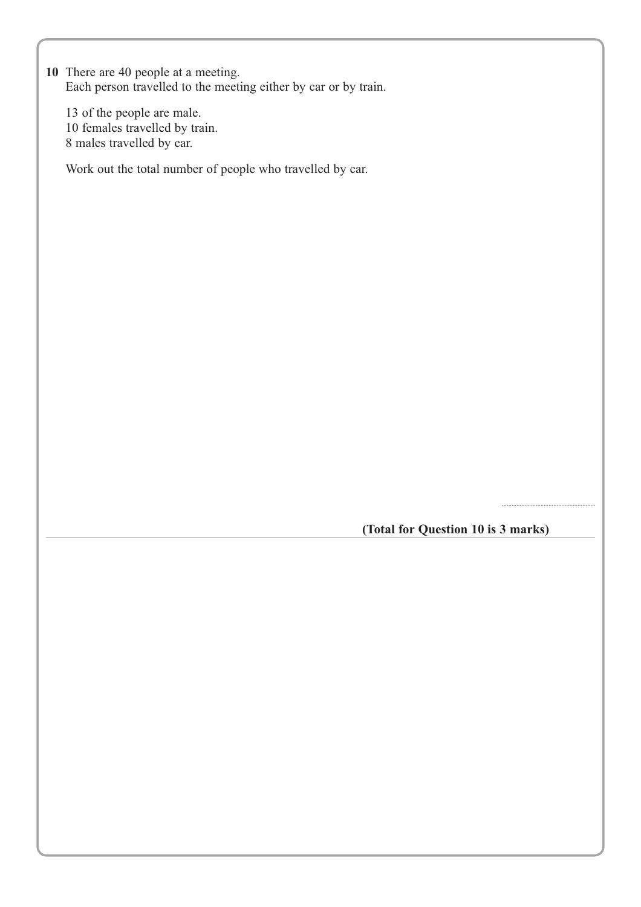**10** There are 40 people at a meeting. Each person travelled to the meeting either by car or by train.

13 of the people are male. 10 females travelled by train. 8 males travelled by car.

Work out the total number of people who travelled by car.

**(Total for Question 10 is 3 marks)**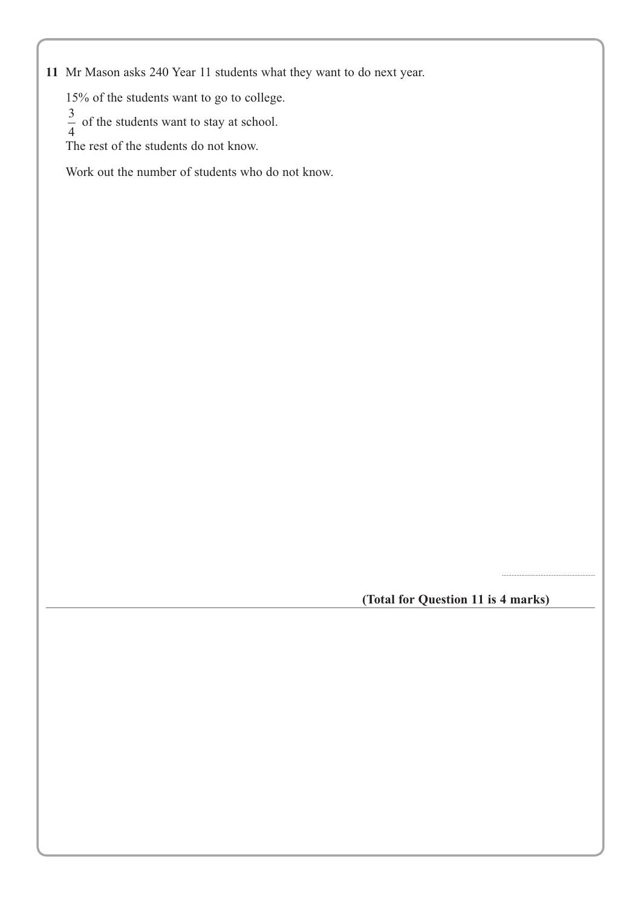**11** Mr Mason asks 240 Year 11 students what they want to do next year.

15% of the students want to go to college.

 $\frac{3}{4}$  of the students want to stay at school.

The rest of the students do not know.

Work out the number of students who do not know.

**(Total for Question 11 is 4 marks)**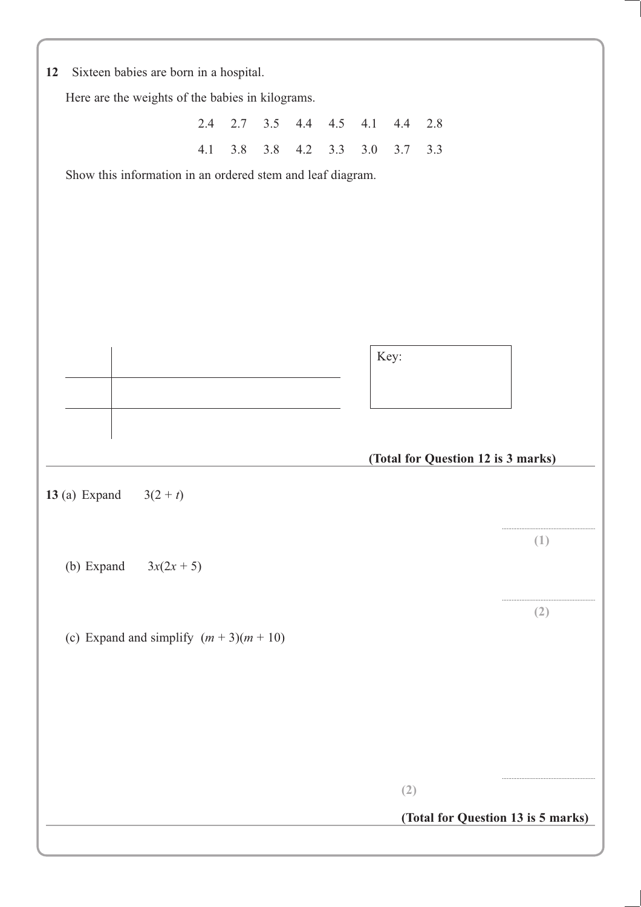| 12                                                                                         |                 |  |                                                            |     |     |     |         |     |      |                                    |                                    |  |
|--------------------------------------------------------------------------------------------|-----------------|--|------------------------------------------------------------|-----|-----|-----|---------|-----|------|------------------------------------|------------------------------------|--|
| Sixteen babies are born in a hospital.<br>Here are the weights of the babies in kilograms. |                 |  |                                                            |     |     |     |         |     |      |                                    |                                    |  |
|                                                                                            |                 |  | 2.4                                                        | 2.7 | 3.5 |     | 4.4 4.5 | 4.1 | 4.4  | 2.8                                |                                    |  |
|                                                                                            |                 |  | 4.1                                                        | 3.8 | 3.8 | 4.2 | 3.3     | 3.0 | 3.7  | 3.3                                |                                    |  |
|                                                                                            |                 |  | Show this information in an ordered stem and leaf diagram. |     |     |     |         |     |      |                                    |                                    |  |
|                                                                                            |                 |  |                                                            |     |     |     |         |     |      |                                    |                                    |  |
|                                                                                            |                 |  |                                                            |     |     |     |         |     |      |                                    |                                    |  |
|                                                                                            |                 |  |                                                            |     |     |     |         |     |      |                                    |                                    |  |
|                                                                                            |                 |  |                                                            |     |     |     |         |     |      |                                    |                                    |  |
|                                                                                            |                 |  |                                                            |     |     |     |         |     |      |                                    |                                    |  |
|                                                                                            |                 |  |                                                            |     |     |     |         |     | Key: |                                    |                                    |  |
|                                                                                            |                 |  |                                                            |     |     |     |         |     |      |                                    |                                    |  |
|                                                                                            |                 |  |                                                            |     |     |     |         |     |      |                                    |                                    |  |
|                                                                                            |                 |  |                                                            |     |     |     |         |     |      |                                    |                                    |  |
|                                                                                            |                 |  |                                                            |     |     |     |         |     |      | (Total for Question 12 is 3 marks) |                                    |  |
|                                                                                            | 13 $(a)$ Expand |  | $3(2 + t)$                                                 |     |     |     |         |     |      |                                    |                                    |  |
|                                                                                            |                 |  |                                                            |     |     |     |         |     |      |                                    |                                    |  |
|                                                                                            |                 |  |                                                            |     |     |     |         |     |      |                                    | (1)                                |  |
|                                                                                            |                 |  | (b) Expand $3x(2x + 5)$                                    |     |     |     |         |     |      |                                    |                                    |  |
|                                                                                            |                 |  |                                                            |     |     |     |         |     |      |                                    | (2)                                |  |
|                                                                                            |                 |  | (c) Expand and simplify $(m + 3)(m + 10)$                  |     |     |     |         |     |      |                                    |                                    |  |
|                                                                                            |                 |  |                                                            |     |     |     |         |     |      |                                    |                                    |  |
|                                                                                            |                 |  |                                                            |     |     |     |         |     |      |                                    |                                    |  |
|                                                                                            |                 |  |                                                            |     |     |     |         |     |      |                                    |                                    |  |
|                                                                                            |                 |  |                                                            |     |     |     |         |     |      |                                    |                                    |  |
|                                                                                            |                 |  |                                                            |     |     |     |         |     | (2)  |                                    |                                    |  |
|                                                                                            |                 |  |                                                            |     |     |     |         |     |      |                                    | (Total for Question 13 is 5 marks) |  |
|                                                                                            |                 |  |                                                            |     |     |     |         |     |      |                                    |                                    |  |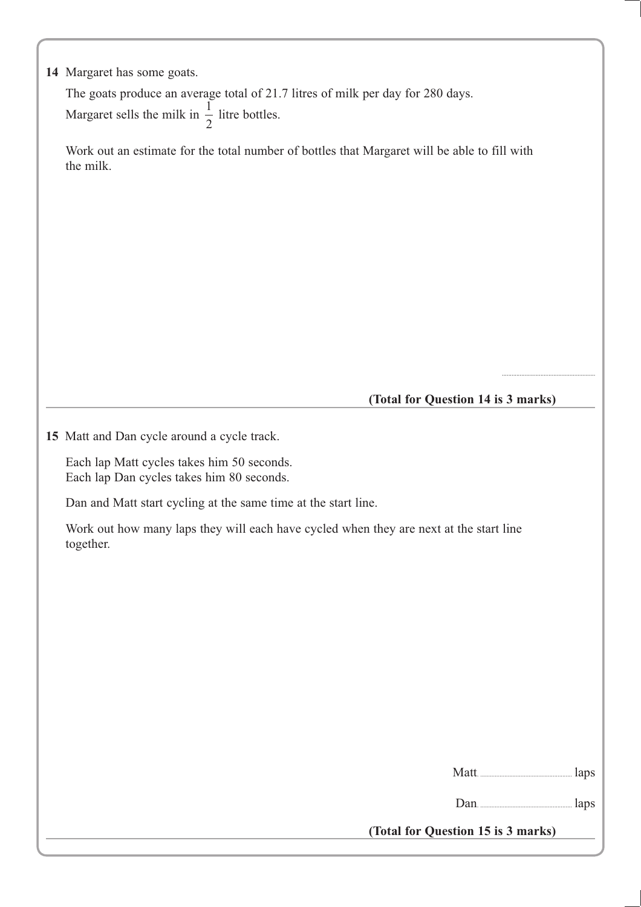|  | 14 Margaret has some goats. |  |  |  |
|--|-----------------------------|--|--|--|
|--|-----------------------------|--|--|--|

The goats produce an average total of 21.7 litres of milk per day for 280 days. Margaret sells the milk in  $\frac{1}{2}$ 2 litre bottles.

Work out an estimate for the total number of bottles that Margaret will be able to fill with the milk.

**(Total for Question 14 is 3 marks)**

..........................................................

**15** Matt and Dan cycle around a cycle track.

Each lap Matt cycles takes him 50 seconds. Each lap Dan cycles takes him 80 seconds.

Dan and Matt start cycling at the same time at the start line.

Work out how many laps they will each have cycled when they are next at the start line together.

Matt. ......................................................... laps

Dan. ......................................................... laps

**(Total for Question 15 is 3 marks)**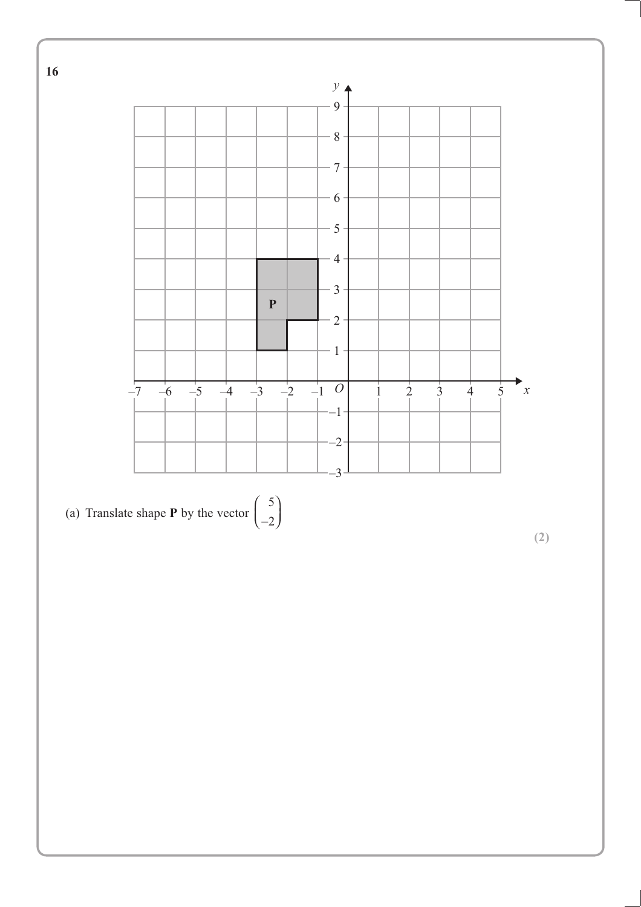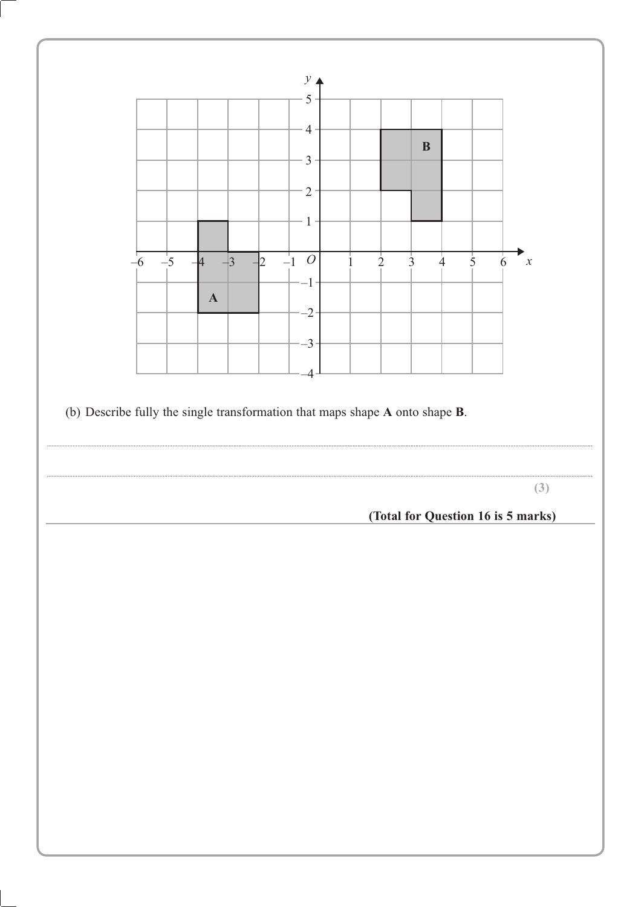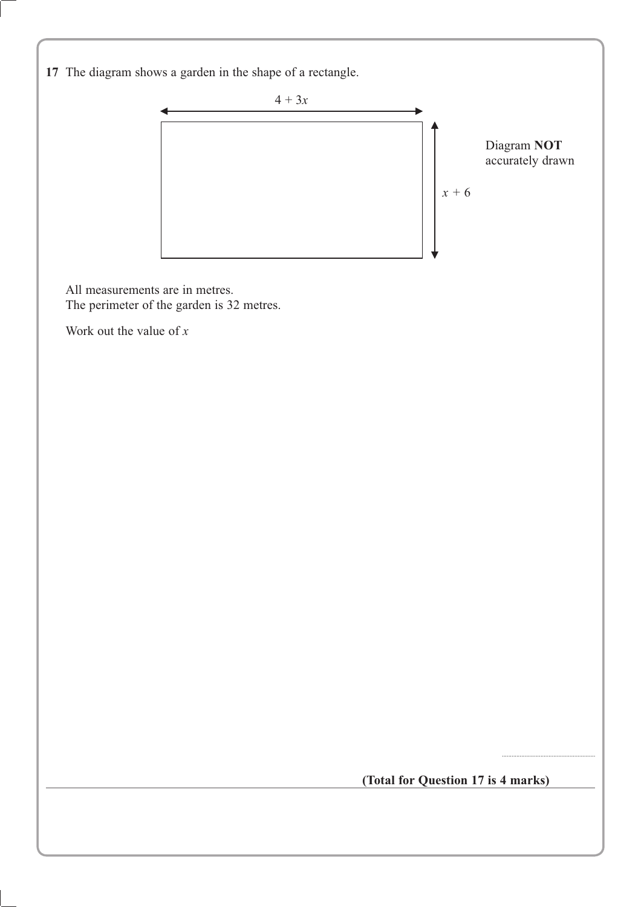**17** The diagram shows a garden in the shape of a rectangle.



All measurements are in metres. The perimeter of the garden is 32 metres.

Work out the value of *x*

**(Total for Question 17 is 4 marks)**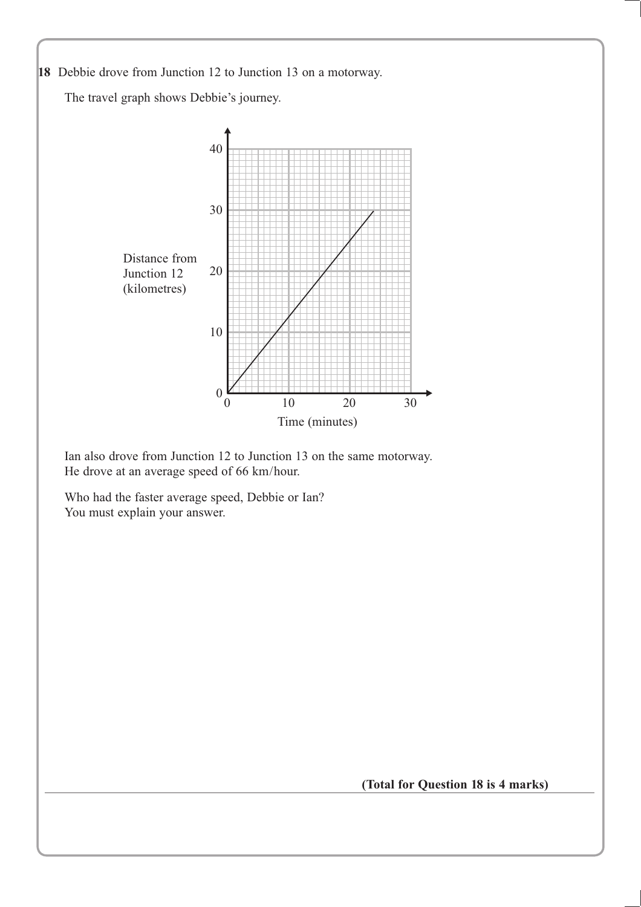

Who had the faster average speed, Debbie or Ian? You must explain your answer.

**(Total for Question 18 is 4 marks)**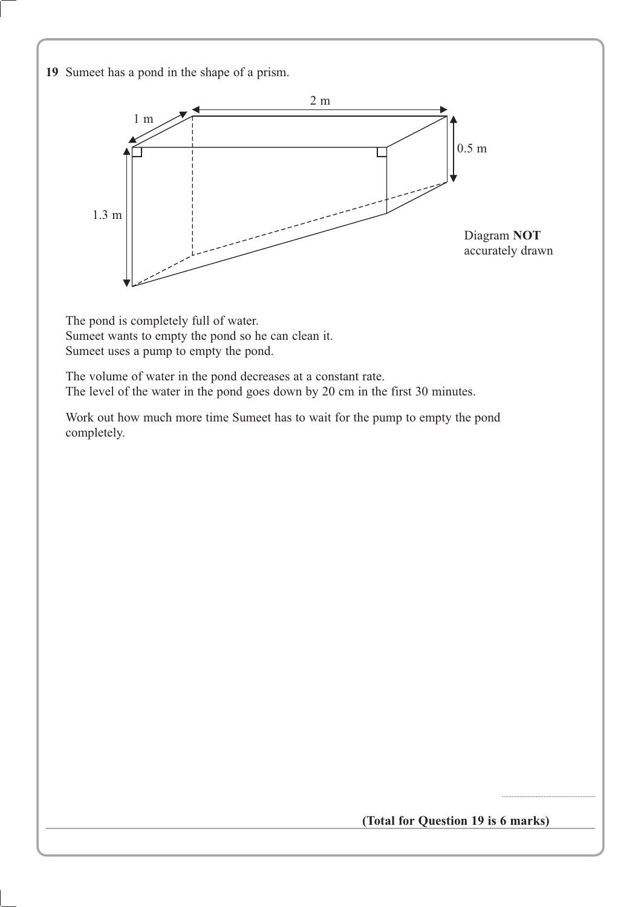**19** Sumeet has a pond in the shape of a prism.



The pond is completely full of water. Sumeet wants to empty the pond so he can clean it. Sumeet uses a pump to empty the pond.

The volume of water in the pond decreases at a constant rate. The level of the water in the pond goes down by 20 cm in the first 30 minutes.

Work out how much more time Sumeet has to wait for the pump to empty the pond completely.

**(Total for Question 19 is 6 marks)**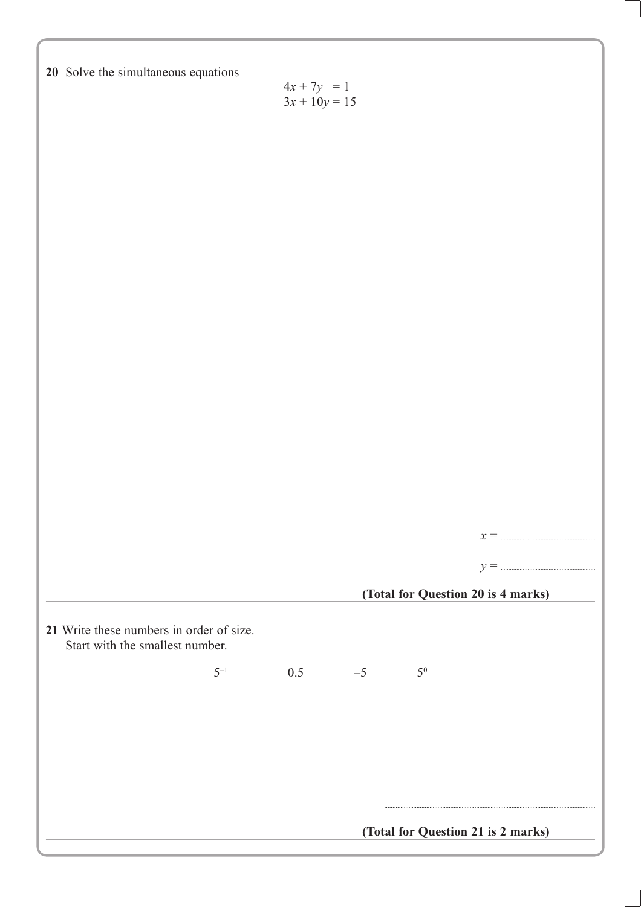| 20 Solve the simultaneous equations                                         | $4x + 7y = 1$<br>$3x + 10y = 15$ |      |       |                                    |                      |
|-----------------------------------------------------------------------------|----------------------------------|------|-------|------------------------------------|----------------------|
|                                                                             |                                  |      |       |                                    |                      |
|                                                                             |                                  |      |       |                                    |                      |
|                                                                             |                                  |      |       |                                    |                      |
|                                                                             |                                  |      |       |                                    |                      |
|                                                                             |                                  |      |       |                                    |                      |
|                                                                             |                                  |      |       |                                    | $x = \dots$<br>$y =$ |
|                                                                             |                                  |      |       | (Total for Question 20 is 4 marks) |                      |
| 21 Write these numbers in order of size.<br>Start with the smallest number. |                                  |      |       |                                    |                      |
| $5^{-1}$                                                                    | 0.5                              | $-5$ | $5^0$ |                                    |                      |
|                                                                             |                                  |      |       |                                    |                      |
|                                                                             |                                  |      |       |                                    |                      |
|                                                                             |                                  |      |       |                                    |                      |
|                                                                             |                                  |      |       | (Total for Question 21 is 2 marks) |                      |